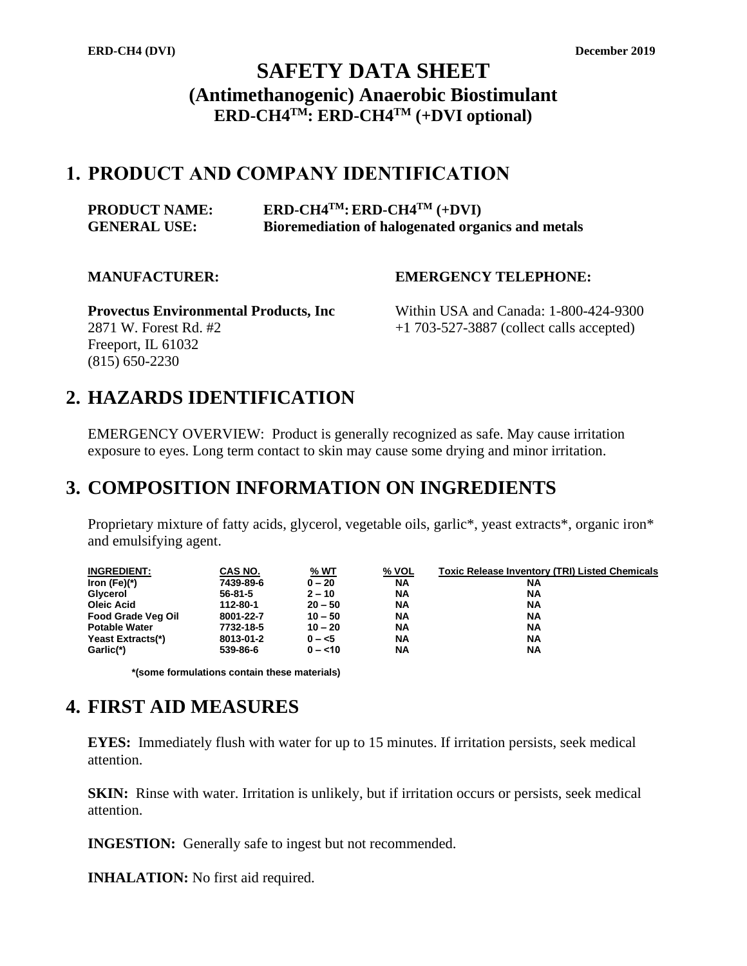# **SAFETY DATA SHEET (Antimethanogenic) Anaerobic Biostimulant ERD-CH4TM: ERD-CH4TM (+DVI optional)**

## **1. PRODUCT AND COMPANY IDENTIFICATION**

| <b>PRODUCT NAME:</b> | $ERD\text{-}CH4^{TM}$ : $ERD\text{-}CH4^{TM}$ (+DVI) |
|----------------------|------------------------------------------------------|
| <b>GENERAL USE:</b>  | Bioremediation of halogenated organics and metals    |

## **MANUFACTURER: EMERGENCY TELEPHONE:**

**Provectus Environmental Products, Inc** Within USA and Canada: 1-800-424-9300 2871 W. Forest Rd. #2 +1 703-527-3887 (collect calls accepted) Freeport, IL 61032 (815) 650-2230

# **2. HAZARDS IDENTIFICATION**

EMERGENCY OVERVIEW: Product is generally recognized as safe. May cause irritation exposure to eyes. Long term contact to skin may cause some drying and minor irritation.

# **3. COMPOSITION INFORMATION ON INGREDIENTS**

Proprietary mixture of fatty acids, glycerol, vegetable oils, garlic<sup>\*</sup>, yeast extracts<sup>\*</sup>, organic iron<sup>\*</sup> and emulsifying agent.

| <b>INGREDIENT:</b>        | CAS NO.       | <u>% WT</u> | <u>% VOL</u> | <b>Toxic Release Inventory (TRI) Listed Chemicals</b> |
|---------------------------|---------------|-------------|--------------|-------------------------------------------------------|
| Iron (Fe) $(*)$           | 7439-89-6     | $0 - 20$    | <b>NA</b>    | ΝA                                                    |
| Glycerol                  | $56 - 81 - 5$ | $2 - 10$    | <b>NA</b>    | ΝA                                                    |
| <b>Oleic Acid</b>         | 112-80-1      | $20 - 50$   | <b>NA</b>    | <b>NA</b>                                             |
| <b>Food Grade Veg Oil</b> | 8001-22-7     | $10 - 50$   | <b>NA</b>    | <b>NA</b>                                             |
| <b>Potable Water</b>      | 7732-18-5     | $10 - 20$   | <b>NA</b>    | ΝA                                                    |
| Yeast Extracts(*)         | 8013-01-2     | $0 - 5$     | <b>NA</b>    | <b>NA</b>                                             |
| Garlic(*)                 | 539-86-6      | $0 - < 10$  | <b>NA</b>    | <b>NA</b>                                             |

**\*(some formulations contain these materials)**

# **4. FIRST AID MEASURES**

**EYES:** Immediately flush with water for up to 15 minutes. If irritation persists, seek medical attention.

**SKIN:** Rinse with water. Irritation is unlikely, but if irritation occurs or persists, seek medical attention.

**INGESTION:** Generally safe to ingest but not recommended.

**INHALATION:** No first aid required.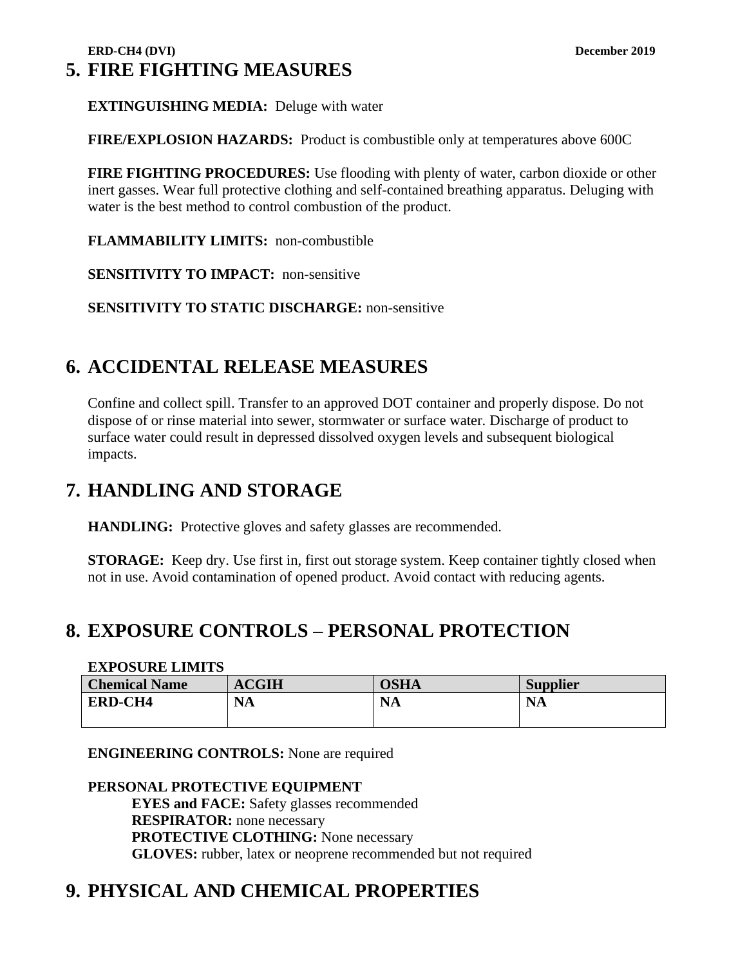**EXTINGUISHING MEDIA:** Deluge with water

**FIRE/EXPLOSION HAZARDS:** Product is combustible only at temperatures above 600C

**FIRE FIGHTING PROCEDURES:** Use flooding with plenty of water, carbon dioxide or other inert gasses. Wear full protective clothing and self-contained breathing apparatus. Deluging with water is the best method to control combustion of the product.

**FLAMMABILITY LIMITS:** non-combustible

**SENSITIVITY TO IMPACT:** non-sensitive

**SENSITIVITY TO STATIC DISCHARGE:** non-sensitive

# **6. ACCIDENTAL RELEASE MEASURES**

Confine and collect spill. Transfer to an approved DOT container and properly dispose. Do not dispose of or rinse material into sewer, stormwater or surface water. Discharge of product to surface water could result in depressed dissolved oxygen levels and subsequent biological impacts.

# **7. HANDLING AND STORAGE**

**HANDLING:** Protective gloves and safety glasses are recommended.

**STORAGE:** Keep dry. Use first in, first out storage system. Keep container tightly closed when not in use. Avoid contamination of opened product. Avoid contact with reducing agents.

# **8. EXPOSURE CONTROLS – PERSONAL PROTECTION**

### **EXPOSURE LIMITS**

| <b>Chemical Name</b> | <b>ACGIH</b> | <b>OSHA</b> | <b>Supplier</b> |
|----------------------|--------------|-------------|-----------------|
| <b>ERD-CH4</b>       | <b>NA</b>    | <b>NA</b>   | <b>NA</b>       |
|                      |              |             |                 |

**ENGINEERING CONTROLS:** None are required

## **PERSONAL PROTECTIVE EQUIPMENT**

**EYES and FACE:** Safety glasses recommended **RESPIRATOR:** none necessary **PROTECTIVE CLOTHING:** None necessary **GLOVES:** rubber, latex or neoprene recommended but not required

# **9. PHYSICAL AND CHEMICAL PROPERTIES**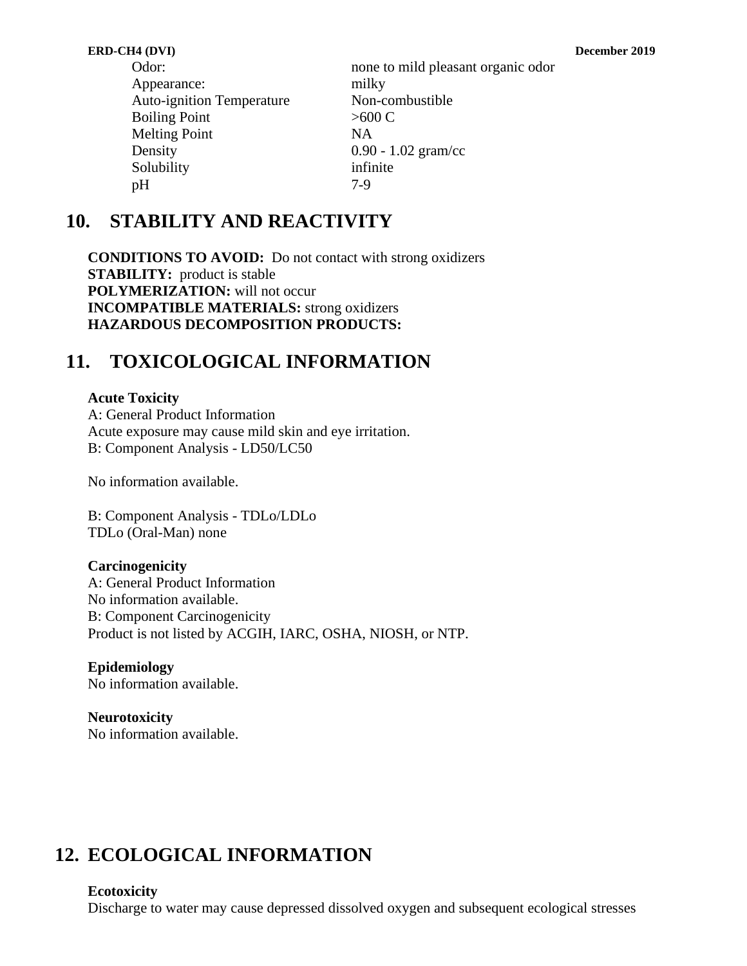| Odor:                            | none to mild pleasant organic odor |
|----------------------------------|------------------------------------|
| Appearance:                      | milky                              |
| <b>Auto-ignition Temperature</b> | Non-combustible                    |
| <b>Boiling Point</b>             | >600 C                             |
| <b>Melting Point</b>             | <b>NA</b>                          |
| Density                          | $0.90 - 1.02$ gram/cc              |
| Solubility                       | infinite                           |
| pH                               | $7-9$                              |
|                                  |                                    |

# **10. STABILITY AND REACTIVITY**

**CONDITIONS TO AVOID:** Do not contact with strong oxidizers **STABILITY:** product is stable **POLYMERIZATION:** will not occur **INCOMPATIBLE MATERIALS:** strong oxidizers **HAZARDOUS DECOMPOSITION PRODUCTS:** 

# **11. TOXICOLOGICAL INFORMATION**

## **Acute Toxicity**

A: General Product Information Acute exposure may cause mild skin and eye irritation. B: Component Analysis - LD50/LC50

No information available.

B: Component Analysis - TDLo/LDLo TDLo (Oral-Man) none

## **Carcinogenicity**

A: General Product Information No information available. B: Component Carcinogenicity Product is not listed by ACGIH, IARC, OSHA, NIOSH, or NTP.

## **Epidemiology**

No information available.

## **Neurotoxicity** No information available.

# **12. ECOLOGICAL INFORMATION**

## **Ecotoxicity**

Discharge to water may cause depressed dissolved oxygen and subsequent ecological stresses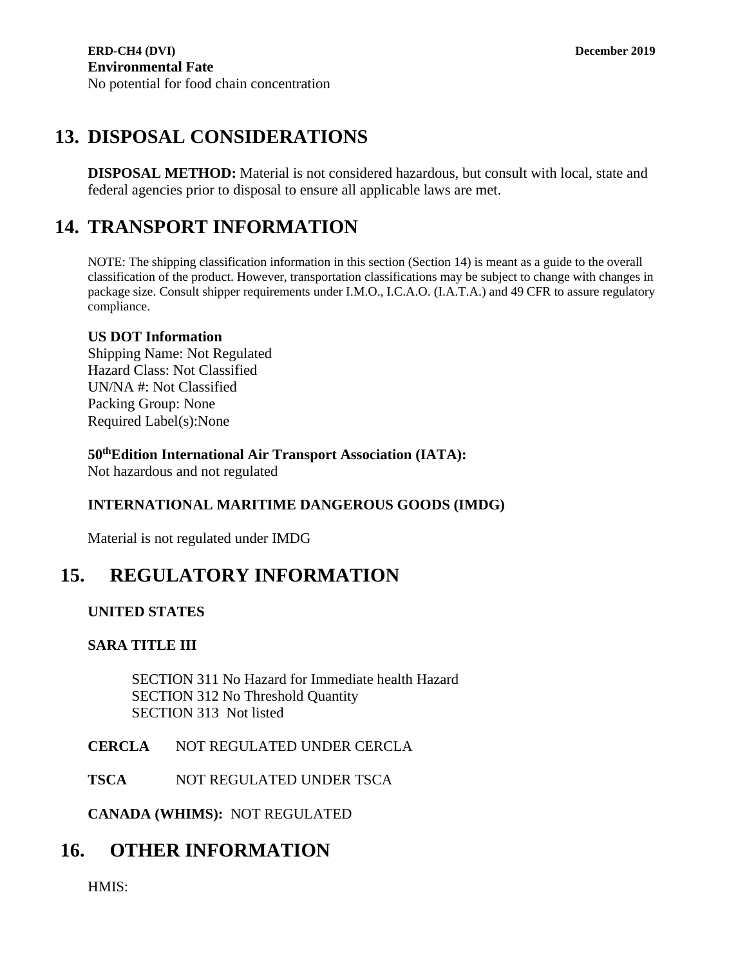# **13. DISPOSAL CONSIDERATIONS**

**DISPOSAL METHOD:** Material is not considered hazardous, but consult with local, state and federal agencies prior to disposal to ensure all applicable laws are met.

# **14. TRANSPORT INFORMATION**

NOTE: The shipping classification information in this section (Section 14) is meant as a guide to the overall classification of the product. However, transportation classifications may be subject to change with changes in package size. Consult shipper requirements under I.M.O., I.C.A.O. (I.A.T.A.) and 49 CFR to assure regulatory compliance.

## **US DOT Information**

Shipping Name: Not Regulated Hazard Class: Not Classified UN/NA #: Not Classified Packing Group: None Required Label(s):None

## **50thEdition International Air Transport Association (IATA):**

Not hazardous and not regulated

## **INTERNATIONAL MARITIME DANGEROUS GOODS (IMDG)**

Material is not regulated under IMDG

# **15. REGULATORY INFORMATION**

## **UNITED STATES**

## **SARA TITLE III**

SECTION 311 No Hazard for Immediate health Hazard SECTION 312 No Threshold Quantity SECTION 313 Not listed

## **CERCLA** NOT REGULATED UNDER CERCLA

**TSCA** NOT REGULATED UNDER TSCA

**CANADA (WHIMS):** NOT REGULATED

# **16. OTHER INFORMATION**

HMIS: